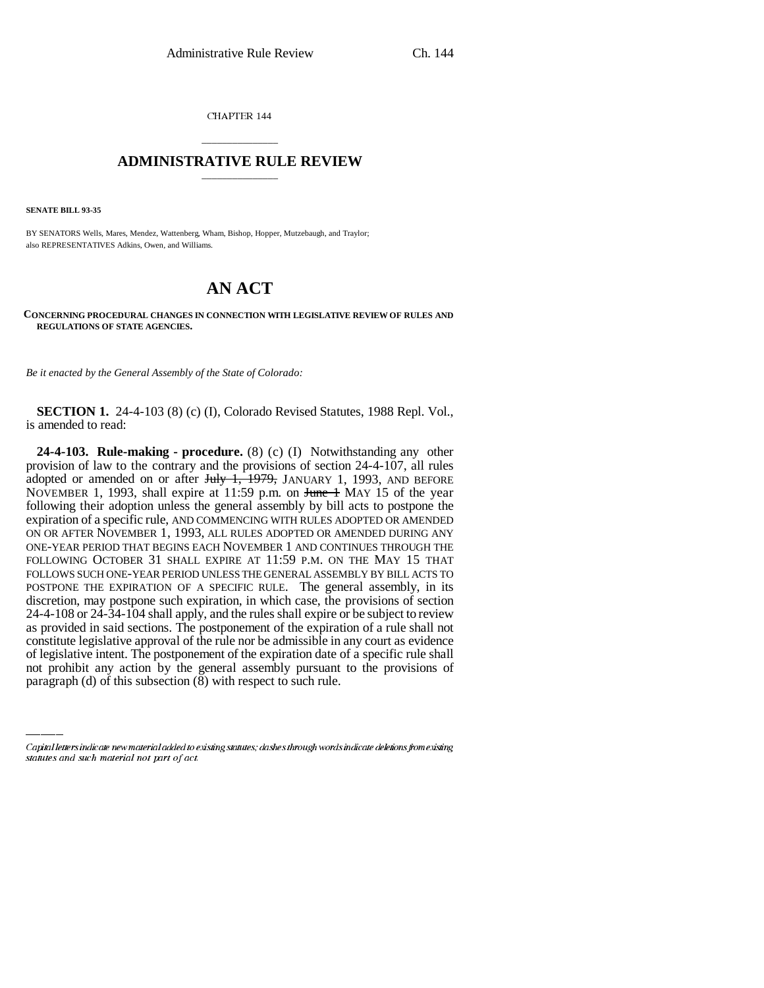CHAPTER 144

## \_\_\_\_\_\_\_\_\_\_\_\_\_\_\_ **ADMINISTRATIVE RULE REVIEW** \_\_\_\_\_\_\_\_\_\_\_\_\_\_\_

**SENATE BILL 93-35**

BY SENATORS Wells, Mares, Mendez, Wattenberg, Wham, Bishop, Hopper, Mutzebaugh, and Traylor; also REPRESENTATIVES Adkins, Owen, and Williams.

## **AN ACT**

**CONCERNING PROCEDURAL CHANGES IN CONNECTION WITH LEGISLATIVE REVIEW OF RULES AND REGULATIONS OF STATE AGENCIES.**

*Be it enacted by the General Assembly of the State of Colorado:*

**SECTION 1.** 24-4-103 (8) (c) (I), Colorado Revised Statutes, 1988 Repl. Vol., is amended to read:

constitute legislative approval of the rule nor be admissible in any court as evidence **24-4-103. Rule-making - procedure.** (8) (c) (I) Notwithstanding any other provision of law to the contrary and the provisions of section 24-4-107, all rules adopted or amended on or after  $J_{\text{t}}$   $\overline{J_{\text{t}}$   $\overline{J_{\text{t}}}$   $\overline{J_{\text{t}}}$   $\overline{J_{\text{t}}}$   $\overline{J_{\text{t}}}$   $\overline{J_{\text{t}}}$   $\overline{J_{\text{t}}}$   $\overline{J_{\text{t}}}$   $\overline{J_{\text{t}}}$   $\overline{J_{\text{t}}}$   $\overline{J_{\text{t}}}$   $\overline{J_{\text{t}}}$   $\overline{J_{\text{t}}}$ NOVEMBER 1, 1993, shall expire at 11:59 p.m. on June 1 MAY 15 of the year following their adoption unless the general assembly by bill acts to postpone the expiration of a specific rule, AND COMMENCING WITH RULES ADOPTED OR AMENDED ON OR AFTER NOVEMBER 1, 1993, ALL RULES ADOPTED OR AMENDED DURING ANY ONE-YEAR PERIOD THAT BEGINS EACH NOVEMBER 1 AND CONTINUES THROUGH THE FOLLOWING OCTOBER 31 SHALL EXPIRE AT 11:59 P.M. ON THE MAY 15 THAT FOLLOWS SUCH ONE-YEAR PERIOD UNLESS THE GENERAL ASSEMBLY BY BILL ACTS TO POSTPONE THE EXPIRATION OF A SPECIFIC RULE. The general assembly, in its discretion, may postpone such expiration, in which case, the provisions of section 24-4-108 or 24-34-104 shall apply, and the rules shall expire or be subject to review as provided in said sections. The postponement of the expiration of a rule shall not of legislative intent. The postponement of the expiration date of a specific rule shall not prohibit any action by the general assembly pursuant to the provisions of paragraph (d) of this subsection (8) with respect to such rule.

Capital letters indicate new material added to existing statutes; dashes through words indicate deletions from existing statutes and such material not part of act.